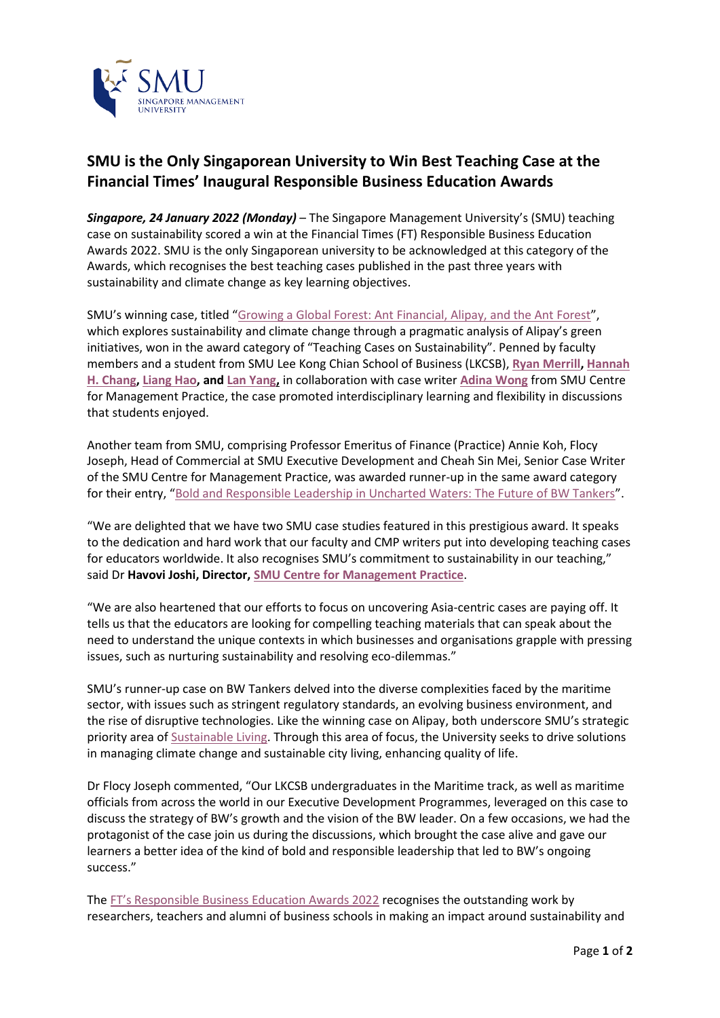

## **SMU is the Only Singaporean University to Win Best Teaching Case at the Financial Times' Inaugural Responsible Business Education Awards**

*Singapore, 24 January 2022 (Monday)* – The Singapore Management University's (SMU) teaching case on sustainability scored a win at the Financial Times (FT) Responsible Business Education Awards 2022. SMU is the only Singaporean university to be acknowledged at this category of the Awards, which recognises the best teaching cases published in the past three years with sustainability and climate change as key learning objectives.

SMU's winning case, titled "[Growing a Global Forest: Ant Financial, Alipay, and the Ant Forest](https://cmp.smu.edu.sg/case/4076)", which explores sustainability and climate change through a pragmatic analysis of Alipay's green initiatives, won in the award category of "Teaching Cases on Sustainability". Penned by faculty members and a student from SMU Lee Kong Chian School of Business (LKCSB), **[Ryan Merrill,](https://cmp.smu.edu.sg/cases/author/8696) [Hannah](https://cmp.smu.edu.sg/cases/author/1846)  [H. Chang,](https://cmp.smu.edu.sg/cases/author/1846) [Liang Hao,](https://cmp.smu.edu.sg/cases/author/9446) an[d Lan Yang,](https://cmp.smu.edu.sg/cases/author/9581)** in collaboration with case writer **[Adina Wong](https://cmp.smu.edu.sg/cases/author/1731)** from SMU Centre for Management Practice, the case promoted interdisciplinary learning and flexibility in discussions that students enjoyed.

Another team from SMU, comprising Professor Emeritus of Finance (Practice) Annie Koh, Flocy Joseph, Head of Commercial at SMU Executive Development and Cheah Sin Mei, Senior Case Writer of the SMU Centre for Management Practice, was awarded runner-up in the same award category for their entry, "[Bold and Responsible Leadership in Uncharted Waters: The Future of BW Tankers](https://cmp.smu.edu.sg/case/3956)".

"We are delighted that we have two SMU case studies featured in this prestigious award. It speaks to the dedication and hard work that our faculty and CMP writers put into developing teaching cases for educators worldwide. It also recognises SMU's commitment to sustainability in our teaching," said Dr **Havovi Joshi, Director, [SMU Centre for Management Practice](https://cmp.smu.edu.sg/)**.

"We are also heartened that our efforts to focus on uncovering Asia-centric cases are paying off. It tells us that the educators are looking for compelling teaching materials that can speak about the need to understand the unique contexts in which businesses and organisations grapple with pressing issues, such as nurturing sustainability and resolving eco-dilemmas."

SMU's runner-up case on BW Tankers delved into the diverse complexities faced by the maritime sector, with issues such as stringent regulatory standards, an evolving business environment, and the rise of disruptive technologies. Like the winning case on Alipay, both underscore SMU's strategic priority area o[f Sustainable Living.](https://news.smu.edu.sg/news/2020/09/21/smu-2025-growing-impact-cultivating-change) Through this area of focus, the University seeks to drive solutions in managing climate change and sustainable city living, enhancing quality of life.

Dr Flocy Joseph commented, "Our LKCSB undergraduates in the Maritime track, as well as maritime officials from across the world in our Executive Development Programmes, leveraged on this case to discuss the strategy of BW's growth and the vision of the BW leader. On a few occasions, we had the protagonist of the case join us during the discussions, which brought the case alive and gave our learners a better idea of the kind of bold and responsible leadership that led to BW's ongoing success."

The [FT's Responsible Business Education Awards 2022](https://www.ft.com/content/d0e069bc-5b06-4003-9f86-5ca286615936?shareType=nongift) recognises the outstanding work by researchers, teachers and alumni of business schools in making an impact around sustainability and